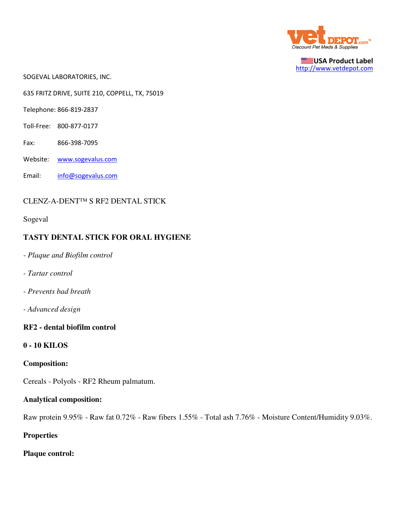

USA Product Label http://www.vetdepot.com

SOGEVAL LABORATORIES, INC.

635 FRITZ DRIVE, SUITE 210, COPPELL, TX, 75019

Telephone: 866-819-2837

- Toll-Free: 800-877-0177
- Fax: 866-398-7095
- Website: www.sogevalus.com
- Email: info@sogevalus.com

### CLENZ-A-DENT™ S RF2 DENTAL STICK

Sogeval

### **TASTY DENTAL STICK FOR ORAL HYGIENE**

- *Plaque and Biofilm control*
- *Tartar control*
- *Prevents bad breath*
- *Advanced design*

#### **RF2 - dental biofilm control**

### **0 - 10 KILOS**

### **Composition:**

Cereals - Polyols - RF2 Rheum palmatum.

#### **Analytical composition:**

Raw protein 9.95% - Raw fat 0.72% - Raw fibers 1.55% - Total ash 7.76% - Moisture Content/Humidity 9.03%.

**Properties**

**Plaque control:**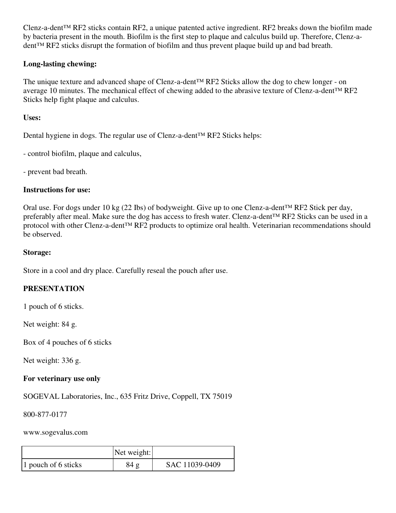Clenz-a-dent™ RF2 sticks contain RF2, a unique patented active ingredient. RF2 breaks down the biofilm made by bacteria present in the mouth. Biofilm is the first step to plaque and calculus build up. Therefore, Clenz-adent™ RF2 sticks disrupt the formation of biofilm and thus prevent plaque build up and bad breath.

# **Long-lasting chewing:**

The unique texture and advanced shape of Clenz-a-dent™ RF2 Sticks allow the dog to chew longer - on average 10 minutes. The mechanical effect of chewing added to the abrasive texture of Clenz-a-dent™ RF2 Sticks help fight plaque and calculus.

**Uses:**

Dental hygiene in dogs. The regular use of Clenz-a-dent™ RF2 Sticks helps:

- control biofilm, plaque and calculus,

- prevent bad breath.

## **Instructions for use:**

Oral use. For dogs under 10 kg (22 Ibs) of bodyweight. Give up to one Clenz-a-dent™ RF2 Stick per day, preferably after meal. Make sure the dog has access to fresh water. Clenz-a-dent™ RF2 Sticks can be used in a protocol with other Clenz-a-dent™ RF2 products to optimize oral health. Veterinarian recommendations should be observed.

## **Storage:**

Store in a cool and dry place. Carefully reseal the pouch after use.

# **PRESENTATION**

1 pouch of 6 sticks.

Net weight: 84 g.

Box of 4 pouches of 6 sticks

Net weight: 336 g.

# **For veterinary use only**

SOGEVAL Laboratories, Inc., 635 Fritz Drive, Coppell, TX 75019

800-877-0177

### www.sogevalus.com

|                     | Net weight: |                |
|---------------------|-------------|----------------|
| 1 pouch of 6 sticks | 84g         | SAC 11039-0409 |